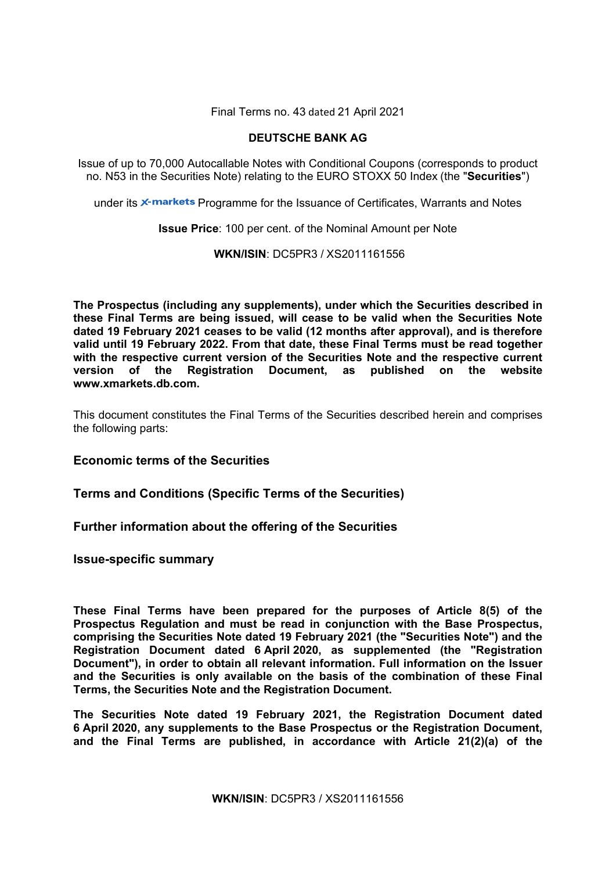Final Terms no. 43 dated 21 April 2021

# **DEUTSCHE BANK AG**

Issue of up to 70,000 Autocallable Notes with Conditional Coupons (corresponds to product no. N53 in the Securities Note) relating to the EURO STOXX 50 Index (the "**Securities**")

under its **x-markets** Programme for the Issuance of Certificates, Warrants and Notes

**Issue Price**: 100 per cent. of the Nominal Amount per Note

# **WKN/ISIN**: DC5PR3 / XS2011161556

**The Prospectus (including any supplements), under which the Securities described in these Final Terms are being issued, will cease to be valid when the Securities Note dated 19 February 2021 ceases to be valid (12 months after approval), and is therefore valid until 19 February 2022. From that date, these Final Terms must be read together with the respective current version of the Securities Note and the respective current version of the Registration Document, as published on the website www.xmarkets.db.com.** 

This document constitutes the Final Terms of the Securities described herein and comprises the following parts:

# **Economic terms of the Securities**

**Terms and Conditions (Specific Terms of the Securities)**

# **Further information about the offering of the Securities**

**Issue-specific summary** 

**These Final Terms have been prepared for the purposes of Article 8(5) of the Prospectus Regulation and must be read in conjunction with the Base Prospectus, comprising the Securities Note dated 19 February 2021 (the "Securities Note") and the Registration Document dated 6 April 2020, as supplemented (the "Registration Document"), in order to obtain all relevant information. Full information on the Issuer and the Securities is only available on the basis of the combination of these Final Terms, the Securities Note and the Registration Document.** 

**The Securities Note dated 19 February 2021, the Registration Document dated 6 April 2020, any supplements to the Base Prospectus or the Registration Document, and the Final Terms are published, in accordance with Article 21(2)(a) of the**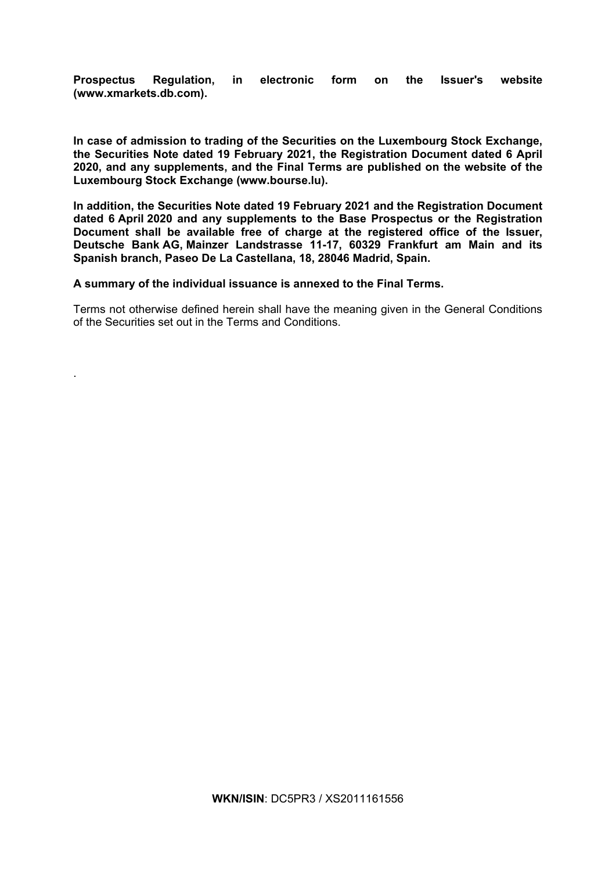**Prospectus Regulation, in electronic form on the Issuer's website (www.xmarkets.db.com).**

**In case of admission to trading of the Securities on the Luxembourg Stock Exchange, the Securities Note dated 19 February 2021, the Registration Document dated 6 April 2020, and any supplements, and the Final Terms are published on the website of the Luxembourg Stock Exchange (www.bourse.lu).** 

**In addition, the Securities Note dated 19 February 2021 and the Registration Document dated 6 April 2020 and any supplements to the Base Prospectus or the Registration Document shall be available free of charge at the registered office of the Issuer, Deutsche Bank AG, Mainzer Landstrasse 11-17, 60329 Frankfurt am Main and its Spanish branch, Paseo De La Castellana, 18, 28046 Madrid, Spain.** 

**A summary of the individual issuance is annexed to the Final Terms.** 

.

Terms not otherwise defined herein shall have the meaning given in the General Conditions of the Securities set out in the Terms and Conditions.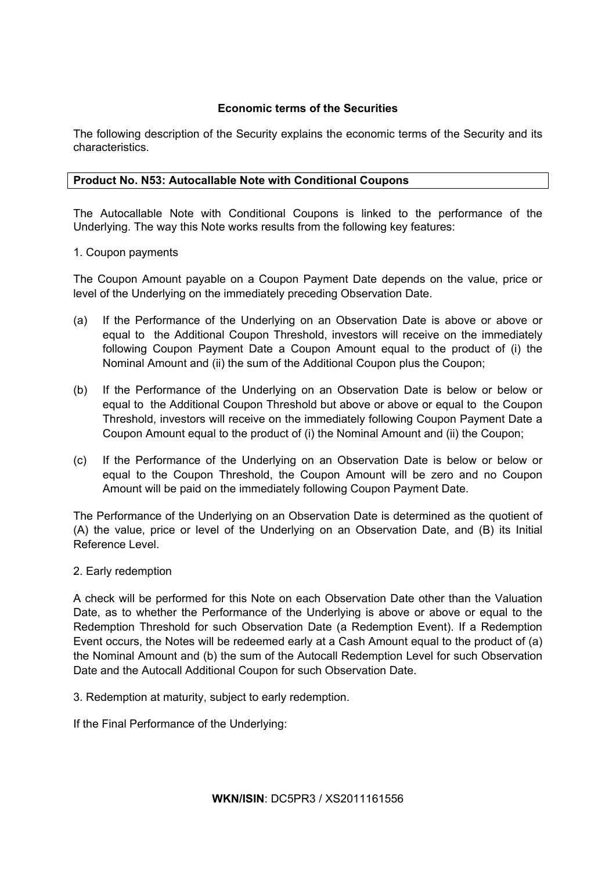# **Economic terms of the Securities**

The following description of the Security explains the economic terms of the Security and its characteristics.

# **Product No. N53: Autocallable Note with Conditional Coupons**

The Autocallable Note with Conditional Coupons is linked to the performance of the Underlying. The way this Note works results from the following key features:

# 1. Coupon payments

The Coupon Amount payable on a Coupon Payment Date depends on the value, price or level of the Underlying on the immediately preceding Observation Date.

- (a) If the Performance of the Underlying on an Observation Date is above or above or equal to the Additional Coupon Threshold, investors will receive on the immediately following Coupon Payment Date a Coupon Amount equal to the product of (i) the Nominal Amount and (ii) the sum of the Additional Coupon plus the Coupon;
- (b) If the Performance of the Underlying on an Observation Date is below or below or equal to the Additional Coupon Threshold but above or above or equal to the Coupon Threshold, investors will receive on the immediately following Coupon Payment Date a Coupon Amount equal to the product of (i) the Nominal Amount and (ii) the Coupon;
- (c) If the Performance of the Underlying on an Observation Date is below or below or equal to the Coupon Threshold, the Coupon Amount will be zero and no Coupon Amount will be paid on the immediately following Coupon Payment Date.

The Performance of the Underlying on an Observation Date is determined as the quotient of (A) the value, price or level of the Underlying on an Observation Date, and (B) its Initial Reference Level.

# 2. Early redemption

A check will be performed for this Note on each Observation Date other than the Valuation Date, as to whether the Performance of the Underlying is above or above or equal to the Redemption Threshold for such Observation Date (a Redemption Event). If a Redemption Event occurs, the Notes will be redeemed early at a Cash Amount equal to the product of (a) the Nominal Amount and (b) the sum of the Autocall Redemption Level for such Observation Date and the Autocall Additional Coupon for such Observation Date.

3. Redemption at maturity, subject to early redemption.

If the Final Performance of the Underlying: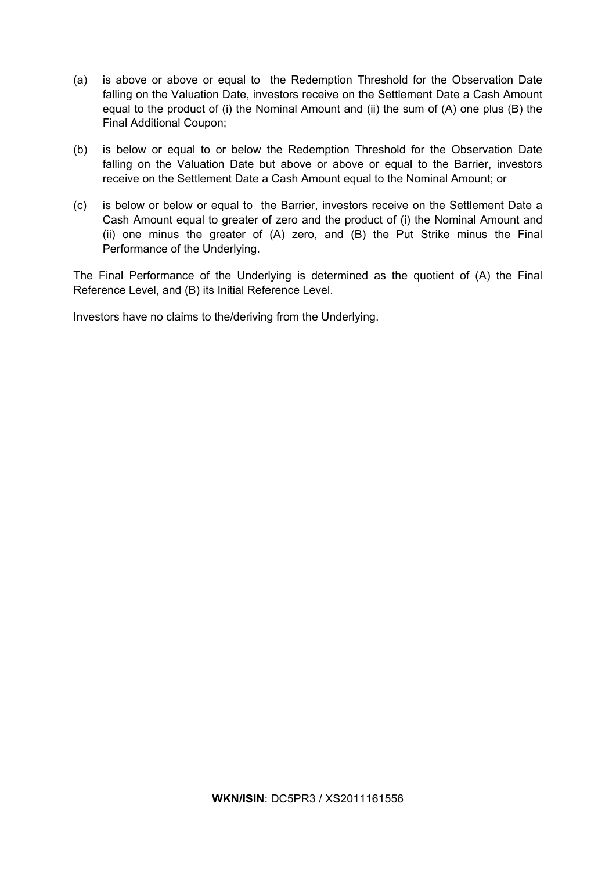- (a) is above or above or equal to the Redemption Threshold for the Observation Date falling on the Valuation Date, investors receive on the Settlement Date a Cash Amount equal to the product of (i) the Nominal Amount and (ii) the sum of (A) one plus (B) the Final Additional Coupon;
- (b) is below or equal to or below the Redemption Threshold for the Observation Date falling on the Valuation Date but above or above or equal to the Barrier, investors receive on the Settlement Date a Cash Amount equal to the Nominal Amount; or
- (c) is below or below or equal to the Barrier, investors receive on the Settlement Date a Cash Amount equal to greater of zero and the product of (i) the Nominal Amount and (ii) one minus the greater of (A) zero, and (B) the Put Strike minus the Final Performance of the Underlying.

The Final Performance of the Underlying is determined as the quotient of (A) the Final Reference Level, and (B) its Initial Reference Level.

Investors have no claims to the/deriving from the Underlying.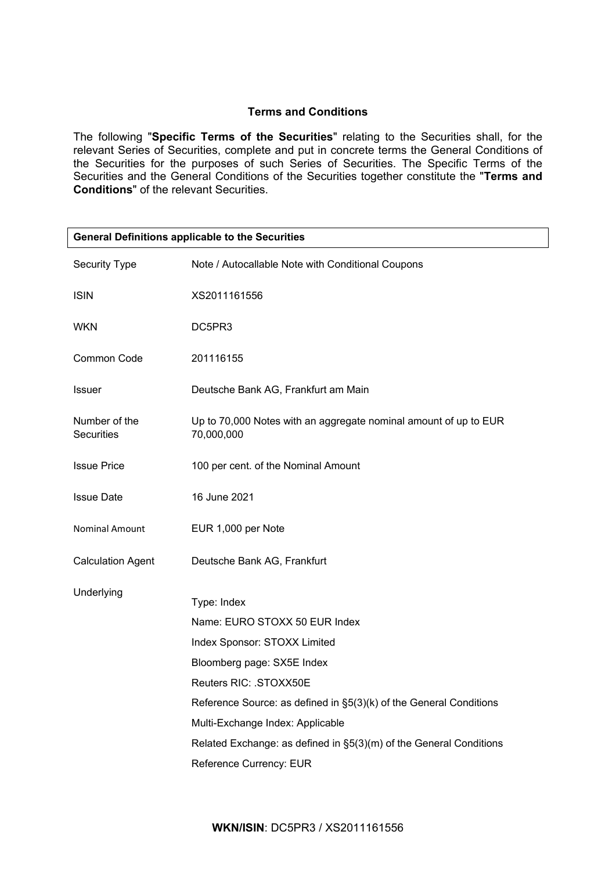# **Terms and Conditions**

The following "**Specific Terms of the Securities**" relating to the Securities shall, for the relevant Series of Securities, complete and put in concrete terms the General Conditions of the Securities for the purposes of such Series of Securities. The Specific Terms of the Securities and the General Conditions of the Securities together constitute the "**Terms and Conditions**" of the relevant Securities.

| <b>General Definitions applicable to the Securities</b> |                                                                                |  |  |
|---------------------------------------------------------|--------------------------------------------------------------------------------|--|--|
| Security Type                                           | Note / Autocallable Note with Conditional Coupons                              |  |  |
| <b>ISIN</b>                                             | XS2011161556                                                                   |  |  |
| <b>WKN</b>                                              | DC5PR3                                                                         |  |  |
| <b>Common Code</b>                                      | 201116155                                                                      |  |  |
| <b>Issuer</b>                                           | Deutsche Bank AG, Frankfurt am Main                                            |  |  |
| Number of the<br><b>Securities</b>                      | Up to 70,000 Notes with an aggregate nominal amount of up to EUR<br>70,000,000 |  |  |
| <b>Issue Price</b>                                      | 100 per cent. of the Nominal Amount                                            |  |  |
| <b>Issue Date</b>                                       | 16 June 2021                                                                   |  |  |
| Nominal Amount                                          | EUR 1,000 per Note                                                             |  |  |
| <b>Calculation Agent</b>                                | Deutsche Bank AG, Frankfurt                                                    |  |  |
| Underlying                                              |                                                                                |  |  |
|                                                         | Type: Index                                                                    |  |  |
|                                                         | Name: EURO STOXX 50 EUR Index                                                  |  |  |
|                                                         | Index Sponsor: STOXX Limited                                                   |  |  |
|                                                         | Bloomberg page: SX5E Index                                                     |  |  |
|                                                         | Reuters RIC: .STOXX50E                                                         |  |  |
|                                                         | Reference Source: as defined in §5(3)(k) of the General Conditions             |  |  |
|                                                         | Multi-Exchange Index: Applicable                                               |  |  |
|                                                         | Related Exchange: as defined in §5(3)(m) of the General Conditions             |  |  |
|                                                         | Reference Currency: EUR                                                        |  |  |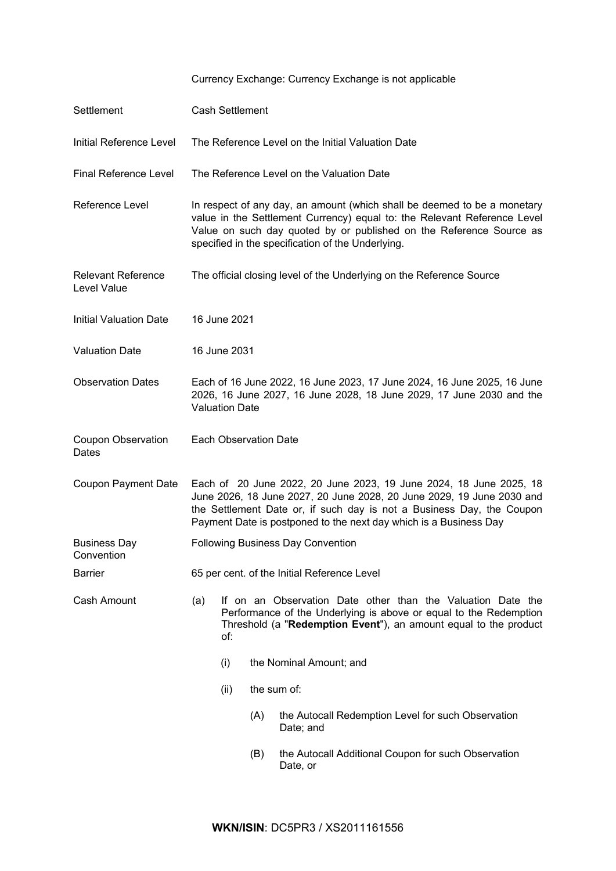| Settlement                               |                                                                                                                                                                                                                                                                                           | Cash Settlement              |     |                                                                                                                                                                                                      |  |
|------------------------------------------|-------------------------------------------------------------------------------------------------------------------------------------------------------------------------------------------------------------------------------------------------------------------------------------------|------------------------------|-----|------------------------------------------------------------------------------------------------------------------------------------------------------------------------------------------------------|--|
| Initial Reference Level                  |                                                                                                                                                                                                                                                                                           |                              |     | The Reference Level on the Initial Valuation Date                                                                                                                                                    |  |
| <b>Final Reference Level</b>             |                                                                                                                                                                                                                                                                                           |                              |     | The Reference Level on the Valuation Date                                                                                                                                                            |  |
| Reference Level                          | In respect of any day, an amount (which shall be deemed to be a monetary<br>value in the Settlement Currency) equal to: the Relevant Reference Level<br>Value on such day quoted by or published on the Reference Source as<br>specified in the specification of the Underlying.          |                              |     |                                                                                                                                                                                                      |  |
| <b>Relevant Reference</b><br>Level Value | The official closing level of the Underlying on the Reference Source                                                                                                                                                                                                                      |                              |     |                                                                                                                                                                                                      |  |
| <b>Initial Valuation Date</b>            |                                                                                                                                                                                                                                                                                           | 16 June 2021                 |     |                                                                                                                                                                                                      |  |
| <b>Valuation Date</b>                    |                                                                                                                                                                                                                                                                                           | 16 June 2031                 |     |                                                                                                                                                                                                      |  |
| <b>Observation Dates</b>                 | Each of 16 June 2022, 16 June 2023, 17 June 2024, 16 June 2025, 16 June<br>2026, 16 June 2027, 16 June 2028, 18 June 2029, 17 June 2030 and the<br><b>Valuation Date</b>                                                                                                                  |                              |     |                                                                                                                                                                                                      |  |
| <b>Coupon Observation</b><br>Dates       |                                                                                                                                                                                                                                                                                           | <b>Each Observation Date</b> |     |                                                                                                                                                                                                      |  |
| Coupon Payment Date                      | Each of 20 June 2022, 20 June 2023, 19 June 2024, 18 June 2025, 18<br>June 2026, 18 June 2027, 20 June 2028, 20 June 2029, 19 June 2030 and<br>the Settlement Date or, if such day is not a Business Day, the Coupon<br>Payment Date is postponed to the next day which is a Business Day |                              |     |                                                                                                                                                                                                      |  |
| <b>Business Day</b><br>Convention        | Following Business Day Convention                                                                                                                                                                                                                                                         |                              |     |                                                                                                                                                                                                      |  |
| <b>Barrier</b>                           | 65 per cent. of the Initial Reference Level                                                                                                                                                                                                                                               |                              |     |                                                                                                                                                                                                      |  |
| Cash Amount                              | (a)                                                                                                                                                                                                                                                                                       | of:                          |     | If on an Observation Date other than the Valuation Date the<br>Performance of the Underlying is above or equal to the Redemption<br>Threshold (a "Redemption Event"), an amount equal to the product |  |
|                                          |                                                                                                                                                                                                                                                                                           | (i)                          |     | the Nominal Amount; and                                                                                                                                                                              |  |
|                                          |                                                                                                                                                                                                                                                                                           | the sum of:<br>(ii)          |     |                                                                                                                                                                                                      |  |
|                                          |                                                                                                                                                                                                                                                                                           |                              | (A) | the Autocall Redemption Level for such Observation<br>Date; and                                                                                                                                      |  |
|                                          |                                                                                                                                                                                                                                                                                           |                              | (B) | the Autocall Additional Coupon for such Observation<br>Date, or                                                                                                                                      |  |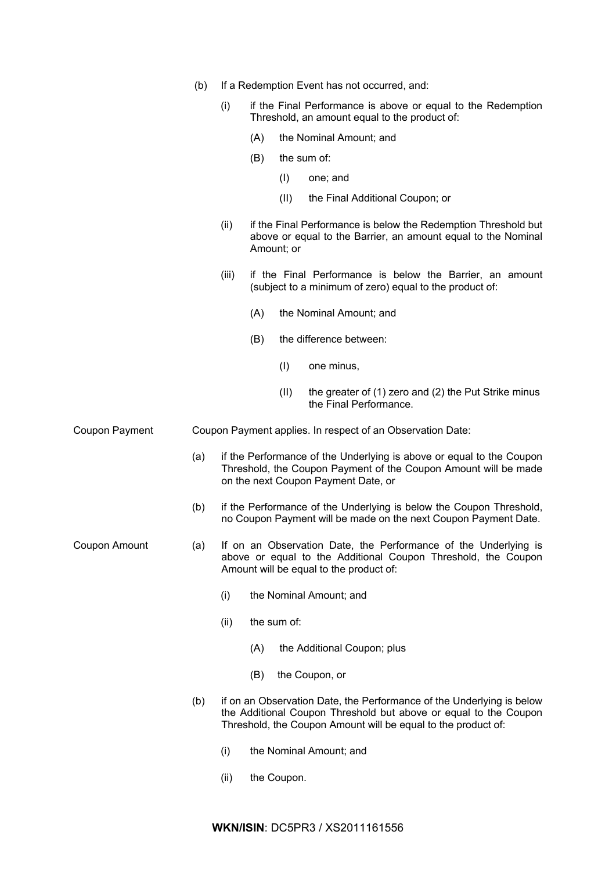|                | (b) |                                                                                                                                                                             |     |             | If a Redemption Event has not occurred, and:                                                                                                                                                               |
|----------------|-----|-----------------------------------------------------------------------------------------------------------------------------------------------------------------------------|-----|-------------|------------------------------------------------------------------------------------------------------------------------------------------------------------------------------------------------------------|
|                |     | (i)                                                                                                                                                                         |     |             | if the Final Performance is above or equal to the Redemption<br>Threshold, an amount equal to the product of:                                                                                              |
|                |     |                                                                                                                                                                             | (A) |             | the Nominal Amount; and                                                                                                                                                                                    |
|                |     |                                                                                                                                                                             | (B) |             | the sum of:                                                                                                                                                                                                |
|                |     |                                                                                                                                                                             |     | (1)         | one; and                                                                                                                                                                                                   |
|                |     |                                                                                                                                                                             |     | (II)        | the Final Additional Coupon; or                                                                                                                                                                            |
|                |     | (ii)                                                                                                                                                                        |     | Amount; or  | if the Final Performance is below the Redemption Threshold but<br>above or equal to the Barrier, an amount equal to the Nominal                                                                            |
|                |     | (iii)                                                                                                                                                                       |     |             | if the Final Performance is below the Barrier, an amount<br>(subject to a minimum of zero) equal to the product of:                                                                                        |
|                |     |                                                                                                                                                                             | (A) |             | the Nominal Amount; and                                                                                                                                                                                    |
|                |     |                                                                                                                                                                             | (B) |             | the difference between:                                                                                                                                                                                    |
|                |     |                                                                                                                                                                             |     | (1)         | one minus,                                                                                                                                                                                                 |
|                |     |                                                                                                                                                                             |     | (II)        | the greater of (1) zero and (2) the Put Strike minus<br>the Final Performance.                                                                                                                             |
| Coupon Payment |     |                                                                                                                                                                             |     |             | Coupon Payment applies. In respect of an Observation Date:                                                                                                                                                 |
|                | (a) |                                                                                                                                                                             |     |             | if the Performance of the Underlying is above or equal to the Coupon<br>Threshold, the Coupon Payment of the Coupon Amount will be made<br>on the next Coupon Payment Date, or                             |
|                | (b) |                                                                                                                                                                             |     |             | if the Performance of the Underlying is below the Coupon Threshold,<br>no Coupon Payment will be made on the next Coupon Payment Date.                                                                     |
| Coupon Amount  | (a) | If on an Observation Date, the Performance of the Underlying is<br>above or equal to the Additional Coupon Threshold, the Coupon<br>Amount will be equal to the product of: |     |             |                                                                                                                                                                                                            |
|                |     | (i)                                                                                                                                                                         |     |             | the Nominal Amount; and                                                                                                                                                                                    |
|                |     | (ii)                                                                                                                                                                        |     | the sum of: |                                                                                                                                                                                                            |
|                |     |                                                                                                                                                                             | (A) |             | the Additional Coupon; plus                                                                                                                                                                                |
|                |     |                                                                                                                                                                             | (B) |             | the Coupon, or                                                                                                                                                                                             |
|                | (b) |                                                                                                                                                                             |     |             | if on an Observation Date, the Performance of the Underlying is below<br>the Additional Coupon Threshold but above or equal to the Coupon<br>Threshold, the Coupon Amount will be equal to the product of: |
|                |     | (i)                                                                                                                                                                         |     |             | the Nominal Amount; and                                                                                                                                                                                    |

(ii) the Coupon.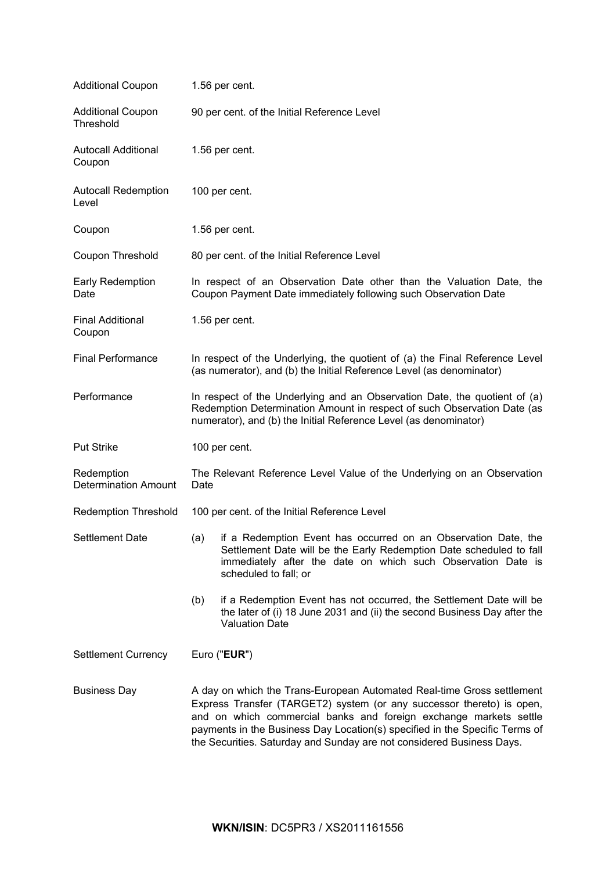| <b>Additional Coupon</b>                  | 1.56 per cent.                                                                                                                                                                                                                                                                                                                                                               |  |  |  |
|-------------------------------------------|------------------------------------------------------------------------------------------------------------------------------------------------------------------------------------------------------------------------------------------------------------------------------------------------------------------------------------------------------------------------------|--|--|--|
| <b>Additional Coupon</b><br>Threshold     | 90 per cent. of the Initial Reference Level                                                                                                                                                                                                                                                                                                                                  |  |  |  |
| <b>Autocall Additional</b><br>Coupon      | 1.56 per cent.                                                                                                                                                                                                                                                                                                                                                               |  |  |  |
| <b>Autocall Redemption</b><br>Level       | 100 per cent.                                                                                                                                                                                                                                                                                                                                                                |  |  |  |
| Coupon                                    | 1.56 per cent.                                                                                                                                                                                                                                                                                                                                                               |  |  |  |
| Coupon Threshold                          | 80 per cent. of the Initial Reference Level                                                                                                                                                                                                                                                                                                                                  |  |  |  |
| Early Redemption<br>Date                  | In respect of an Observation Date other than the Valuation Date, the<br>Coupon Payment Date immediately following such Observation Date                                                                                                                                                                                                                                      |  |  |  |
| <b>Final Additional</b><br>Coupon         | 1.56 per cent.                                                                                                                                                                                                                                                                                                                                                               |  |  |  |
| <b>Final Performance</b>                  | In respect of the Underlying, the quotient of (a) the Final Reference Level<br>(as numerator), and (b) the Initial Reference Level (as denominator)                                                                                                                                                                                                                          |  |  |  |
| Performance                               | In respect of the Underlying and an Observation Date, the quotient of (a)<br>Redemption Determination Amount in respect of such Observation Date (as<br>numerator), and (b) the Initial Reference Level (as denominator)                                                                                                                                                     |  |  |  |
| <b>Put Strike</b>                         | 100 per cent.                                                                                                                                                                                                                                                                                                                                                                |  |  |  |
| Redemption<br><b>Determination Amount</b> | The Relevant Reference Level Value of the Underlying on an Observation<br>Date                                                                                                                                                                                                                                                                                               |  |  |  |
| <b>Redemption Threshold</b>               | 100 per cent. of the Initial Reference Level                                                                                                                                                                                                                                                                                                                                 |  |  |  |
| <b>Settlement Date</b>                    | (a) if a Redemption Event has occurred on an Observation Date, the<br>Settlement Date will be the Early Redemption Date scheduled to fall<br>immediately after the date on which such Observation Date is<br>scheduled to fall; or                                                                                                                                           |  |  |  |
|                                           | if a Redemption Event has not occurred, the Settlement Date will be<br>(b)<br>the later of (i) 18 June 2031 and (ii) the second Business Day after the<br><b>Valuation Date</b>                                                                                                                                                                                              |  |  |  |
| <b>Settlement Currency</b>                | Euro ("EUR")                                                                                                                                                                                                                                                                                                                                                                 |  |  |  |
| <b>Business Day</b>                       | A day on which the Trans-European Automated Real-time Gross settlement<br>Express Transfer (TARGET2) system (or any successor thereto) is open,<br>and on which commercial banks and foreign exchange markets settle<br>payments in the Business Day Location(s) specified in the Specific Terms of<br>the Securities. Saturday and Sunday are not considered Business Days. |  |  |  |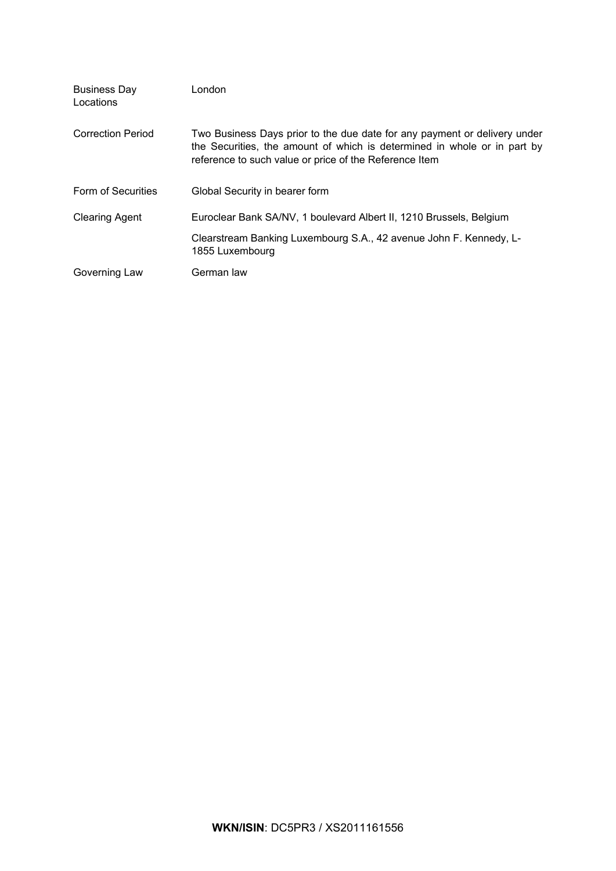| <b>Business Day</b><br>Locations | London                                                                                                                                                                                                          |
|----------------------------------|-----------------------------------------------------------------------------------------------------------------------------------------------------------------------------------------------------------------|
| <b>Correction Period</b>         | Two Business Days prior to the due date for any payment or delivery under<br>the Securities, the amount of which is determined in whole or in part by<br>reference to such value or price of the Reference Item |
| Form of Securities               | Global Security in bearer form                                                                                                                                                                                  |
| <b>Clearing Agent</b>            | Euroclear Bank SA/NV, 1 boulevard Albert II, 1210 Brussels, Belgium                                                                                                                                             |
|                                  | Clearstream Banking Luxembourg S.A., 42 avenue John F. Kennedy, L-<br>1855 Luxembourg                                                                                                                           |
| Governing Law                    | German law                                                                                                                                                                                                      |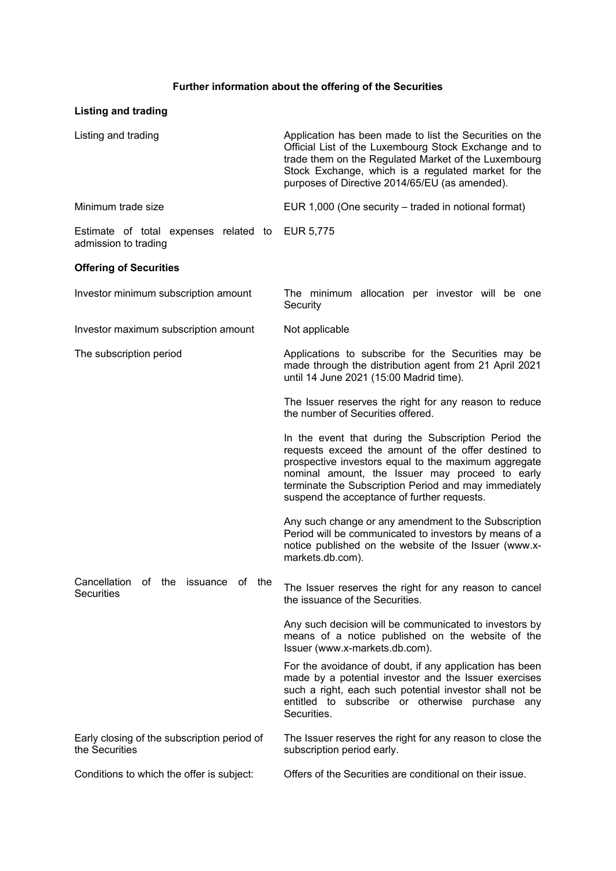# **Further information about the offering of the Securities**

| <b>Listing and trading</b>                                           |                                                                                                                                                                                                                                                                                                                                |  |
|----------------------------------------------------------------------|--------------------------------------------------------------------------------------------------------------------------------------------------------------------------------------------------------------------------------------------------------------------------------------------------------------------------------|--|
| Listing and trading                                                  | Application has been made to list the Securities on the<br>Official List of the Luxembourg Stock Exchange and to<br>trade them on the Regulated Market of the Luxembourg<br>Stock Exchange, which is a regulated market for the<br>purposes of Directive 2014/65/EU (as amended).                                              |  |
| Minimum trade size                                                   | EUR 1,000 (One security - traded in notional format)                                                                                                                                                                                                                                                                           |  |
| Estimate of total expenses related to<br>admission to trading        | EUR 5,775                                                                                                                                                                                                                                                                                                                      |  |
| <b>Offering of Securities</b>                                        |                                                                                                                                                                                                                                                                                                                                |  |
| Investor minimum subscription amount                                 | The minimum allocation per investor will be one<br>Security                                                                                                                                                                                                                                                                    |  |
| Investor maximum subscription amount                                 | Not applicable                                                                                                                                                                                                                                                                                                                 |  |
| The subscription period                                              | Applications to subscribe for the Securities may be<br>made through the distribution agent from 21 April 2021<br>until 14 June 2021 (15:00 Madrid time).                                                                                                                                                                       |  |
|                                                                      | The Issuer reserves the right for any reason to reduce<br>the number of Securities offered.                                                                                                                                                                                                                                    |  |
|                                                                      | In the event that during the Subscription Period the<br>requests exceed the amount of the offer destined to<br>prospective investors equal to the maximum aggregate<br>nominal amount, the Issuer may proceed to early<br>terminate the Subscription Period and may immediately<br>suspend the acceptance of further requests. |  |
|                                                                      | Any such change or any amendment to the Subscription<br>Period will be communicated to investors by means of a<br>notice published on the website of the Issuer (www.x-<br>markets.db.com).                                                                                                                                    |  |
| Cancellation<br>οf<br>the<br>issuance<br>of the<br><b>Securities</b> | The Issuer reserves the right for any reason to cancel<br>the issuance of the Securities.                                                                                                                                                                                                                                      |  |
|                                                                      | Any such decision will be communicated to investors by<br>means of a notice published on the website of the<br>Issuer (www.x-markets.db.com).                                                                                                                                                                                  |  |
|                                                                      | For the avoidance of doubt, if any application has been<br>made by a potential investor and the Issuer exercises<br>such a right, each such potential investor shall not be<br>entitled to subscribe or otherwise purchase any<br>Securities.                                                                                  |  |
| Early closing of the subscription period of<br>the Securities        | The Issuer reserves the right for any reason to close the<br>subscription period early.                                                                                                                                                                                                                                        |  |
| Conditions to which the offer is subject:                            | Offers of the Securities are conditional on their issue.                                                                                                                                                                                                                                                                       |  |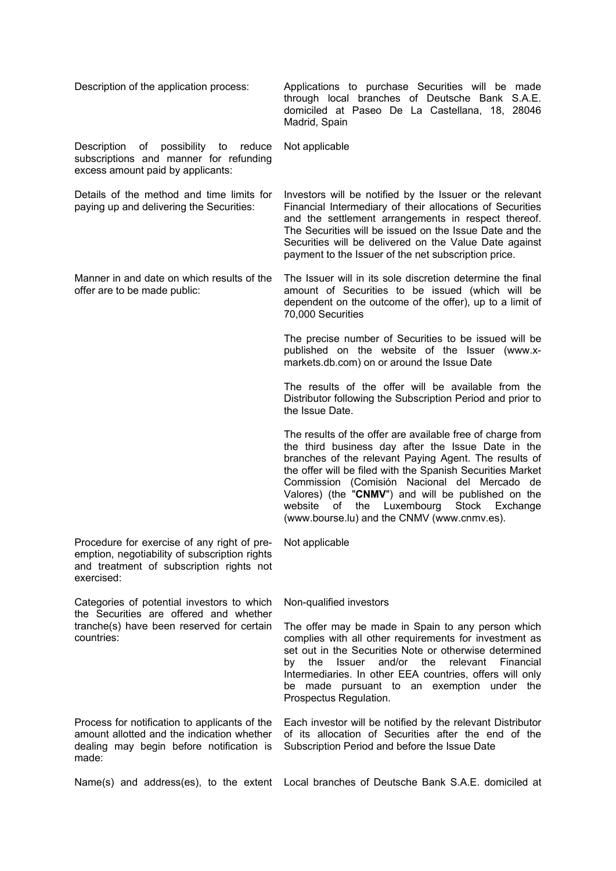| Description of the application process:                                                                                                                | Applications to purchase Securities will be made<br>through local branches of Deutsche Bank S.A.E.<br>domiciled at Paseo De La Castellana, 18, 28046<br>Madrid, Spain                                                                                                                                                                                                                                                                             |
|--------------------------------------------------------------------------------------------------------------------------------------------------------|---------------------------------------------------------------------------------------------------------------------------------------------------------------------------------------------------------------------------------------------------------------------------------------------------------------------------------------------------------------------------------------------------------------------------------------------------|
| Description<br>of possibility to reduce<br>subscriptions and manner for refunding<br>excess amount paid by applicants:                                 | Not applicable                                                                                                                                                                                                                                                                                                                                                                                                                                    |
| Details of the method and time limits for<br>paying up and delivering the Securities:                                                                  | Investors will be notified by the Issuer or the relevant<br>Financial Intermediary of their allocations of Securities<br>and the settlement arrangements in respect thereof.<br>The Securities will be issued on the Issue Date and the<br>Securities will be delivered on the Value Date against<br>payment to the Issuer of the net subscription price.                                                                                         |
| Manner in and date on which results of the<br>offer are to be made public:                                                                             | The Issuer will in its sole discretion determine the final<br>amount of Securities to be issued (which will be<br>dependent on the outcome of the offer), up to a limit of<br>70,000 Securities                                                                                                                                                                                                                                                   |
|                                                                                                                                                        | The precise number of Securities to be issued will be<br>published on the website of the Issuer (www.x-<br>markets.db.com) on or around the Issue Date                                                                                                                                                                                                                                                                                            |
|                                                                                                                                                        | The results of the offer will be available from the<br>Distributor following the Subscription Period and prior to<br>the Issue Date.                                                                                                                                                                                                                                                                                                              |
|                                                                                                                                                        | The results of the offer are available free of charge from<br>the third business day after the Issue Date in the<br>branches of the relevant Paying Agent. The results of<br>the offer will be filed with the Spanish Securities Market<br>Commission (Comisión Nacional del Mercado de<br>Valores) (the "CNMV") and will be published on the<br>Luxembourg Stock Exchange<br>of<br>website<br>the<br>(www.bourse.lu) and the CNMV (www.cnmv.es). |
| Procedure for exercise of any right of pre-<br>emption, negotiability of subscription rights<br>and treatment of subscription rights not<br>exercised: | Not applicable                                                                                                                                                                                                                                                                                                                                                                                                                                    |
| Categories of potential investors to which                                                                                                             | Non-qualified investors                                                                                                                                                                                                                                                                                                                                                                                                                           |
| the Securities are offered and whether<br>tranche(s) have been reserved for certain<br>countries:                                                      | The offer may be made in Spain to any person which<br>complies with all other requirements for investment as<br>set out in the Securities Note or otherwise determined<br>and/or the<br>by the<br>Issuer<br>relevant<br>Financial<br>Intermediaries. In other EEA countries, offers will only<br>be made pursuant to an exemption under the<br>Prospectus Regulation.                                                                             |
| Process for notification to applicants of the<br>amount allotted and the indication whether<br>dealing may begin before notification is<br>made:       | Each investor will be notified by the relevant Distributor<br>of its allocation of Securities after the end of the<br>Subscription Period and before the Issue Date                                                                                                                                                                                                                                                                               |
|                                                                                                                                                        | Name(s) and address(es), to the extent Local branches of Deutsche Bank S.A.E. domiciled at                                                                                                                                                                                                                                                                                                                                                        |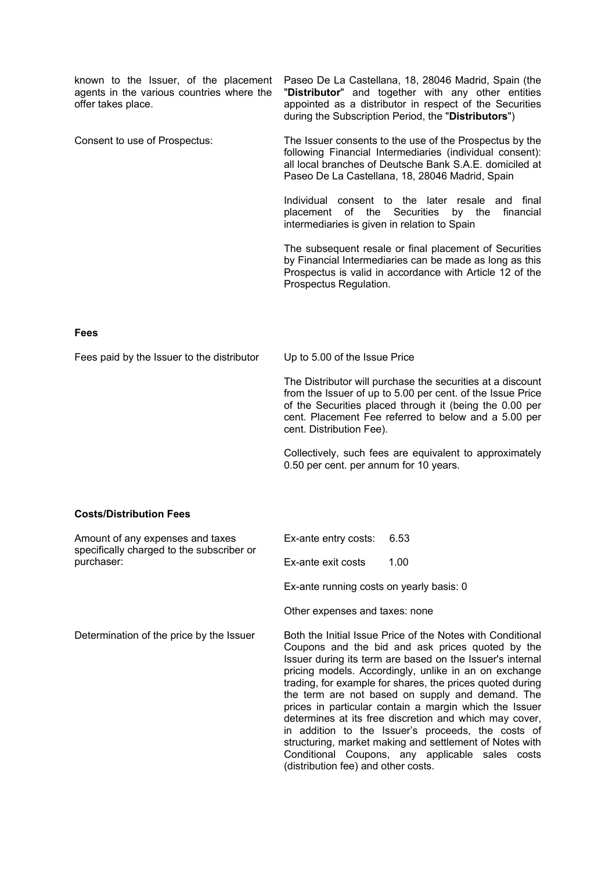| known to the Issuer, of the placement<br>agents in the various countries where the<br>offer takes place. |                                                                     | Paseo De La Castellana, 18, 28046 Madrid, Spain (the<br>"Distributor" and together with any other entities<br>appointed as a distributor in respect of the Securities<br>during the Subscription Period, the "Distributors")                |
|----------------------------------------------------------------------------------------------------------|---------------------------------------------------------------------|---------------------------------------------------------------------------------------------------------------------------------------------------------------------------------------------------------------------------------------------|
| Consent to use of Prospectus:                                                                            |                                                                     | The Issuer consents to the use of the Prospectus by the<br>following Financial Intermediaries (individual consent):<br>all local branches of Deutsche Bank S.A.E. domiciled at<br>Paseo De La Castellana, 18, 28046 Madrid, Spain           |
|                                                                                                          | placement of<br>the<br>intermediaries is given in relation to Spain | Individual consent to the later resale and final<br>Securities<br>financial<br>by<br>the                                                                                                                                                    |
|                                                                                                          | Prospectus Regulation.                                              | The subsequent resale or final placement of Securities<br>by Financial Intermediaries can be made as long as this<br>Prospectus is valid in accordance with Article 12 of the                                                               |
| <b>Fees</b>                                                                                              |                                                                     |                                                                                                                                                                                                                                             |
| Fees paid by the Issuer to the distributor                                                               | Up to 5.00 of the Issue Price                                       |                                                                                                                                                                                                                                             |
|                                                                                                          | cent. Distribution Fee).                                            | The Distributor will purchase the securities at a discount<br>from the Issuer of up to 5.00 per cent. of the Issue Price<br>of the Securities placed through it (being the 0.00 per<br>cent. Placement Fee referred to below and a 5.00 per |
|                                                                                                          | 0.50 per cent. per annum for 10 years.                              | Collectively, such fees are equivalent to approximately                                                                                                                                                                                     |
| <b>Costs/Distribution Fees</b>                                                                           |                                                                     |                                                                                                                                                                                                                                             |
| Amount of any expenses and taxes<br>specifically charged to the subscriber or                            | Ex-ante entry costs:                                                | 6.53                                                                                                                                                                                                                                        |
| purchaser:                                                                                               | Ex-ante exit costs                                                  | 1.00                                                                                                                                                                                                                                        |

Ex-ante running costs on yearly basis: 0

Other expenses and taxes: none

Determination of the price by the Issuer Both the Initial Issue Price of the Notes with Conditional Coupons and the bid and ask prices quoted by the Issuer during its term are based on the Issuer's internal pricing models. Accordingly, unlike in an on exchange trading, for example for shares, the prices quoted during the term are not based on supply and demand. The prices in particular contain a margin which the Issuer determines at its free discretion and which may cover, in addition to the Issuer's proceeds, the costs of structuring, market making and settlement of Notes with Conditional Coupons, any applicable sales costs (distribution fee) and other costs.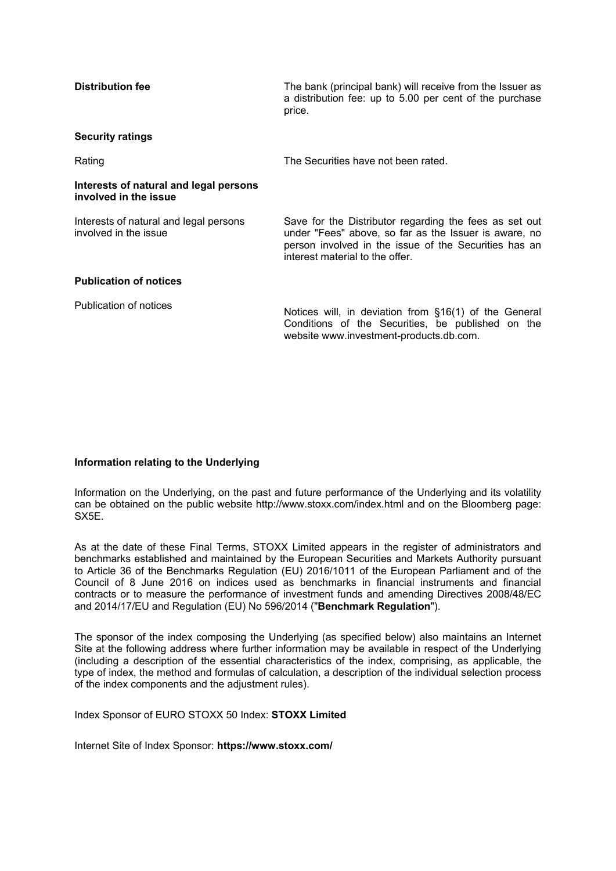| <b>Distribution fee</b>                                         | The bank (principal bank) will receive from the Issuer as<br>a distribution fee: up to 5.00 per cent of the purchase<br>price.                                                                              |
|-----------------------------------------------------------------|-------------------------------------------------------------------------------------------------------------------------------------------------------------------------------------------------------------|
| <b>Security ratings</b>                                         |                                                                                                                                                                                                             |
| Rating                                                          | The Securities have not been rated.                                                                                                                                                                         |
| Interests of natural and legal persons<br>involved in the issue |                                                                                                                                                                                                             |
| Interests of natural and legal persons<br>involved in the issue | Save for the Distributor regarding the fees as set out<br>under "Fees" above, so far as the Issuer is aware, no<br>person involved in the issue of the Securities has an<br>interest material to the offer. |
| <b>Publication of notices</b>                                   |                                                                                                                                                                                                             |
| Publication of notices                                          | Notices will, in deviation from §16(1) of the General<br>Conditions of the Securities, be published on the<br>website www.investment-products.db.com.                                                       |

# **Information relating to the Underlying**

Information on the Underlying, on the past and future performance of the Underlying and its volatility can be obtained on the public website http://www.stoxx.com/index.html and on the Bloomberg page: SX5E.

As at the date of these Final Terms, STOXX Limited appears in the register of administrators and benchmarks established and maintained by the European Securities and Markets Authority pursuant to Article 36 of the Benchmarks Regulation (EU) 2016/1011 of the European Parliament and of the Council of 8 June 2016 on indices used as benchmarks in financial instruments and financial contracts or to measure the performance of investment funds and amending Directives 2008/48/EC and 2014/17/EU and Regulation (EU) No 596/2014 ("**Benchmark Regulation**").

The sponsor of the index composing the Underlying (as specified below) also maintains an Internet Site at the following address where further information may be available in respect of the Underlying (including a description of the essential characteristics of the index, comprising, as applicable, the type of index, the method and formulas of calculation, a description of the individual selection process of the index components and the adjustment rules).

Index Sponsor of EURO STOXX 50 Index: **STOXX Limited** 

Internet Site of Index Sponsor: **https://www.stoxx.com/**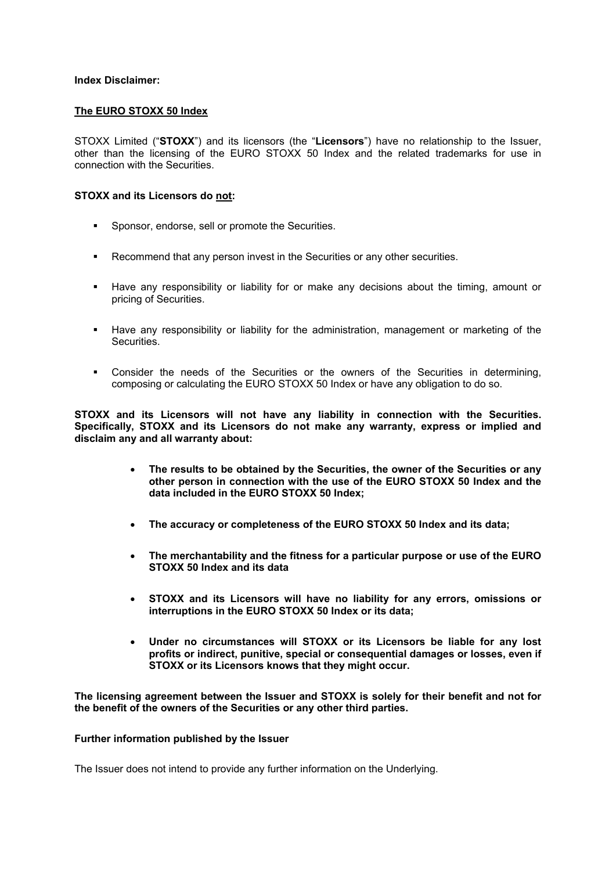# **Index Disclaimer:**

# **The EURO STOXX 50 Index**

STOXX Limited ("**STOXX**") and its licensors (the "**Licensors**") have no relationship to the Issuer, other than the licensing of the EURO STOXX 50 Index and the related trademarks for use in connection with the Securities.

# **STOXX and its Licensors do not:**

- **Sponsor, endorse, sell or promote the Securities.**
- **Recommend that any person invest in the Securities or any other securities.**
- Have any responsibility or liability for or make any decisions about the timing, amount or pricing of Securities.
- Have any responsibility or liability for the administration, management or marketing of the Securities.
- Consider the needs of the Securities or the owners of the Securities in determining, composing or calculating the EURO STOXX 50 Index or have any obligation to do so.

**STOXX and its Licensors will not have any liability in connection with the Securities. Specifically, STOXX and its Licensors do not make any warranty, express or implied and disclaim any and all warranty about:** 

- **The results to be obtained by the Securities, the owner of the Securities or any other person in connection with the use of the EURO STOXX 50 Index and the data included in the EURO STOXX 50 Index;**
- **The accuracy or completeness of the EURO STOXX 50 Index and its data;**
- **The merchantability and the fitness for a particular purpose or use of the EURO STOXX 50 Index and its data**
- **STOXX and its Licensors will have no liability for any errors, omissions or interruptions in the EURO STOXX 50 Index or its data;**
- **Under no circumstances will STOXX or its Licensors be liable for any lost profits or indirect, punitive, special or consequential damages or losses, even if STOXX or its Licensors knows that they might occur.**

**The licensing agreement between the Issuer and STOXX is solely for their benefit and not for the benefit of the owners of the Securities or any other third parties.** 

## **Further information published by the Issuer**

The Issuer does not intend to provide any further information on the Underlying.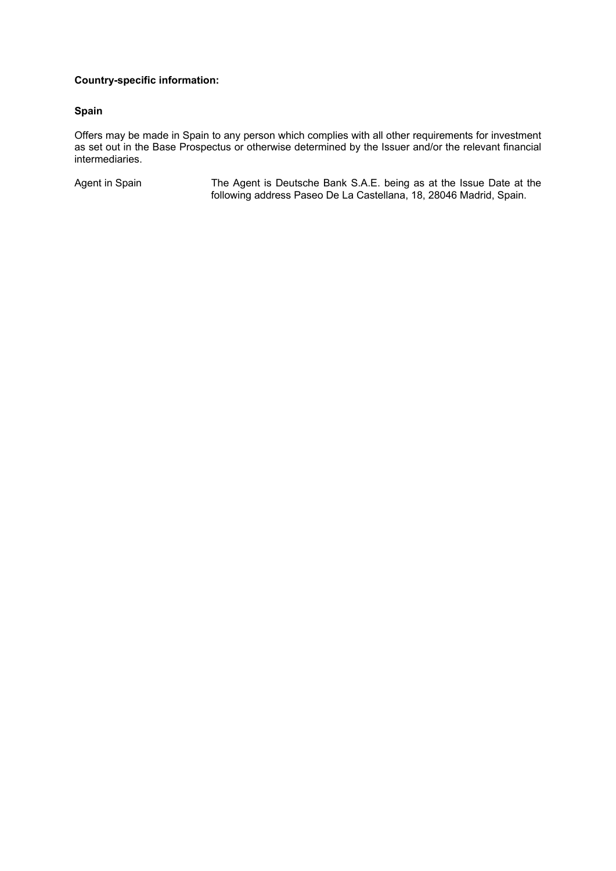# **Country-specific information:**

# **Spain**

Offers may be made in Spain to any person which complies with all other requirements for investment as set out in the Base Prospectus or otherwise determined by the Issuer and/or the relevant financial intermediaries.

Agent in Spain The Agent is Deutsche Bank S.A.E. being as at the Issue Date at the following address Paseo De La Castellana, 18, 28046 Madrid, Spain.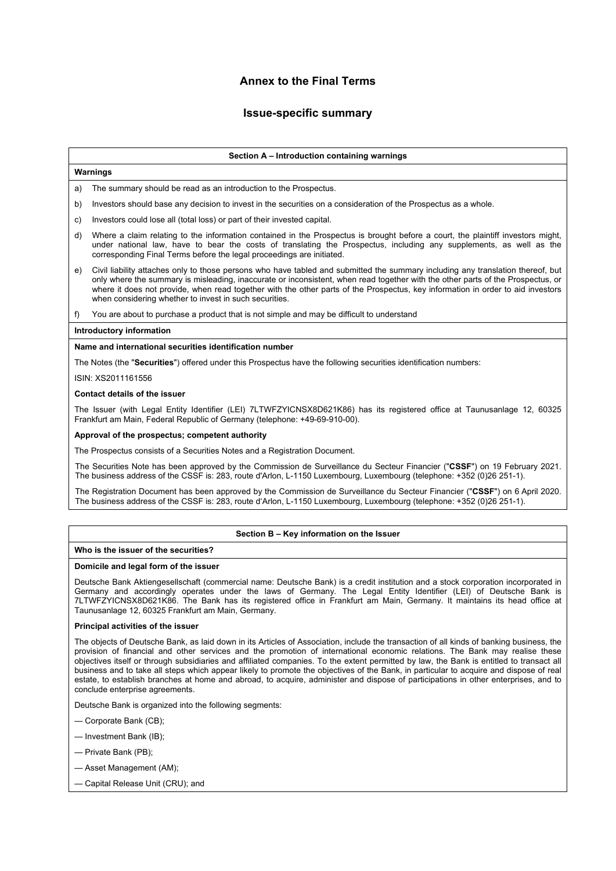# **Annex to the Final Terms**

# **Issue-specific summary**

### **Section A – Introduction containing warnings**

## **Warnings**

a) The summary should be read as an introduction to the Prospectus.

- b) Investors should base any decision to invest in the securities on a consideration of the Prospectus as a whole.
- c) Investors could lose all (total loss) or part of their invested capital.
- d) Where a claim relating to the information contained in the Prospectus is brought before a court, the plaintiff investors might, under national law, have to bear the costs of translating the Prospectus, including any supplements, as well as the corresponding Final Terms before the legal proceedings are initiated.
- e) Civil liability attaches only to those persons who have tabled and submitted the summary including any translation thereof, but only where the summary is misleading, inaccurate or inconsistent, when read together with the other parts of the Prospectus, or where it does not provide, when read together with the other parts of the Prospectus, key information in order to aid investors when considering whether to invest in such securities.
- f) You are about to purchase a product that is not simple and may be difficult to understand

### **Introductory information**

## **Name and international securities identification number**

The Notes (the "**Securities**") offered under this Prospectus have the following securities identification numbers:

ISIN: XS2011161556

### **Contact details of the issuer**

The Issuer (with Legal Entity Identifier (LEI) 7LTWFZYICNSX8D621K86) has its registered office at Taunusanlage 12, 60325 Frankfurt am Main, Federal Republic of Germany (telephone: +49-69-910-00).

## **Approval of the prospectus; competent authority**

The Prospectus consists of a Securities Notes and a Registration Document.

The Securities Note has been approved by the Commission de Surveillance du Secteur Financier ("**CSSF**") on 19 February 2021. The business address of the CSSF is: 283, route d'Arlon, L-1150 Luxembourg, Luxembourg (telephone: +352 (0)26 251-1).

The Registration Document has been approved by the Commission de Surveillance du Secteur Financier ("**CSSF**") on 6 April 2020. The business address of the CSSF is: 283, route d'Arlon, L-1150 Luxembourg, Luxembourg (telephone: +352 (0)26 251-1).

### **Section B – Key information on the Issuer**

## **Who is the issuer of the securities?**

### **Domicile and legal form of the issuer**

Deutsche Bank Aktiengesellschaft (commercial name: Deutsche Bank) is a credit institution and a stock corporation incorporated in Germany and accordingly operates under the laws of Germany. The Legal Entity Identifier (LEI) of Deutsche Bank is 7LTWFZYICNSX8D621K86. The Bank has its registered office in Frankfurt am Main, Germany. It maintains its head office at Taunusanlage 12, 60325 Frankfurt am Main, Germany.

### **Principal activities of the issuer**

The objects of Deutsche Bank, as laid down in its Articles of Association, include the transaction of all kinds of banking business, the provision of financial and other services and the promotion of international economic relations. The Bank may realise these objectives itself or through subsidiaries and affiliated companies. To the extent permitted by law, the Bank is entitled to transact all business and to take all steps which appear likely to promote the objectives of the Bank, in particular to acquire and dispose of real estate, to establish branches at home and abroad, to acquire, administer and dispose of participations in other enterprises, and to conclude enterprise agreements.

Deutsche Bank is organized into the following segments:

— Corporate Bank (CB);

- Investment Bank (IB);
- Private Bank (PB);
- Asset Management (AM);
- Capital Release Unit (CRU); and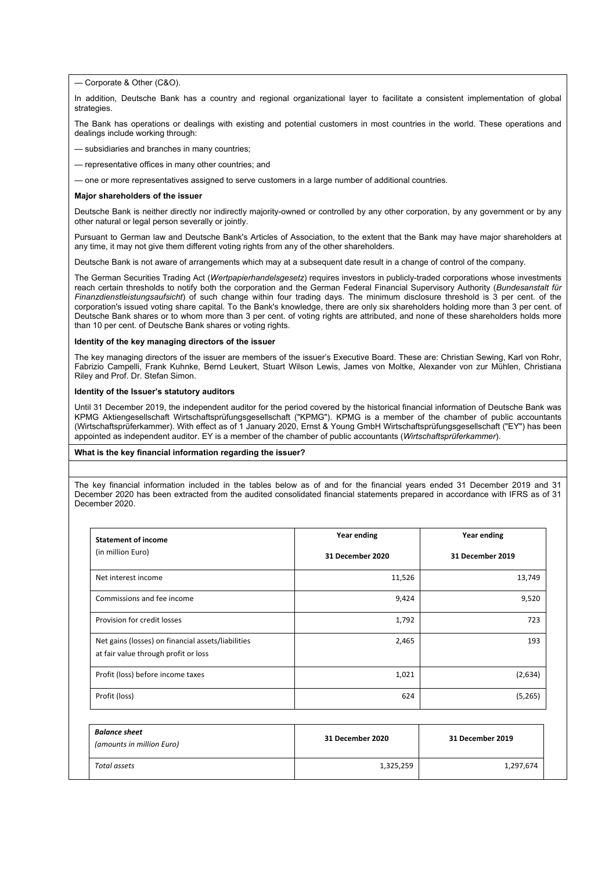— Corporate & Other (C&O).

In addition, Deutsche Bank has a country and regional organizational layer to facilitate a consistent implementation of global strategies.

The Bank has operations or dealings with existing and potential customers in most countries in the world. These operations and dealings include working through:

- subsidiaries and branches in many countries;
- representative offices in many other countries; and
- one or more representatives assigned to serve customers in a large number of additional countries.

#### **Major shareholders of the issuer**

Deutsche Bank is neither directly nor indirectly majority-owned or controlled by any other corporation, by any government or by any other natural or legal person severally or jointly.

Pursuant to German law and Deutsche Bank's Articles of Association, to the extent that the Bank may have major shareholders at any time, it may not give them different voting rights from any of the other shareholders.

Deutsche Bank is not aware of arrangements which may at a subsequent date result in a change of control of the company.

The German Securities Trading Act (*Wertpapierhandelsgesetz*) requires investors in publicly-traded corporations whose investments reach certain thresholds to notify both the corporation and the German Federal Financial Supervisory Authority (*Bundesanstalt für Finanzdienstleistungsaufsicht*) of such change within four trading days. The minimum disclosure threshold is 3 per cent. of the corporation's issued voting share capital. To the Bank's knowledge, there are only six shareholders holding more than 3 per cent. of Deutsche Bank shares or to whom more than 3 per cent. of voting rights are attributed, and none of these shareholders holds more than 10 per cent. of Deutsche Bank shares or voting rights.

#### **Identity of the key managing directors of the issuer**

The key managing directors of the issuer are members of the issuer's Executive Board. These are: Christian Sewing, Karl von Rohr, Fabrizio Campelli, Frank Kuhnke, Bernd Leukert, Stuart Wilson Lewis, James von Moltke, Alexander von zur Mühlen, Christiana Riley and Prof. Dr. Stefan Simon.

### **Identity of the Issuer's statutory auditors**

Until 31 December 2019, the independent auditor for the period covered by the historical financial information of Deutsche Bank was KPMG Aktiengesellschaft Wirtschaftsprüfungsgesellschaft ("KPMG"). KPMG is a member of the chamber of public accountants (Wirtschaftsprüferkammer). With effect as of 1 January 2020, Ernst & Young GmbH Wirtschaftsprüfungsgesellschaft ("EY") has been appointed as independent auditor. EY is a member of the chamber of public accountants (*Wirtschaftsprüferkammer*).

### **What is the key financial information regarding the issuer?**

The key financial information included in the tables below as of and for the financial years ended 31 December 2019 and 31 December 2020 has been extracted from the audited consolidated financial statements prepared in accordance with IFRS as of 31 December 2020.

| <b>Statement of income</b>                                                                 | Year ending      | Year ending      |
|--------------------------------------------------------------------------------------------|------------------|------------------|
| (in million Euro)                                                                          | 31 December 2020 | 31 December 2019 |
| Net interest income                                                                        | 11,526           | 13,749           |
| Commissions and fee income                                                                 | 9,424            | 9,520            |
| Provision for credit losses                                                                | 1,792            | 723              |
| Net gains (losses) on financial assets/liabilities<br>at fair value through profit or loss | 2,465            | 193              |
| Profit (loss) before income taxes                                                          | 1,021            | (2,634)          |
| Profit (loss)                                                                              | 624              | (5,265)          |

| <b>Balance sheet</b><br>(amounts in million Euro) | 31 December 2020 | 31 December 2019 |  |
|---------------------------------------------------|------------------|------------------|--|
| Total assets                                      | 1,325,259        | 1,297,674        |  |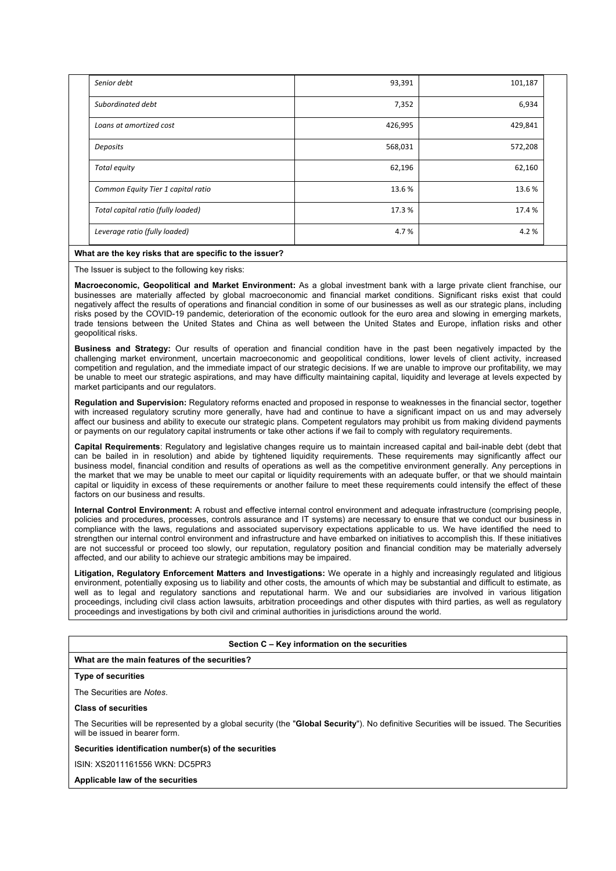| Senior debt                        | 93,391  | 101,187 |  |
|------------------------------------|---------|---------|--|
| Subordinated debt                  | 7,352   | 6,934   |  |
| Loans at amortized cost            | 426,995 | 429,841 |  |
| Deposits                           | 568,031 | 572,208 |  |
| Total equity                       | 62,196  | 62,160  |  |
| Common Equity Tier 1 capital ratio | 13.6%   | 13.6%   |  |
| Total capital ratio (fully loaded) | 17.3%   | 17.4 %  |  |
| Leverage ratio (fully loaded)      | 4.7%    | 4.2%    |  |

## **What are the key risks that are specific to the issuer?**

The Issuer is subject to the following key risks:

**Macroeconomic, Geopolitical and Market Environment:** As a global investment bank with a large private client franchise, our businesses are materially affected by global macroeconomic and financial market conditions. Significant risks exist that could negatively affect the results of operations and financial condition in some of our businesses as well as our strategic plans, including risks posed by the COVID-19 pandemic, deterioration of the economic outlook for the euro area and slowing in emerging markets, trade tensions between the United States and China as well between the United States and Europe, inflation risks and other geopolitical risks.

**Business and Strategy:** Our results of operation and financial condition have in the past been negatively impacted by the challenging market environment, uncertain macroeconomic and geopolitical conditions, lower levels of client activity, increased competition and regulation, and the immediate impact of our strategic decisions. If we are unable to improve our profitability, we may be unable to meet our strategic aspirations, and may have difficulty maintaining capital, liquidity and leverage at levels expected by market participants and our regulators.

**Regulation and Supervision:** Regulatory reforms enacted and proposed in response to weaknesses in the financial sector, together with increased regulatory scrutiny more generally, have had and continue to have a significant impact on us and may adversely affect our business and ability to execute our strategic plans. Competent regulators may prohibit us from making dividend payments or payments on our regulatory capital instruments or take other actions if we fail to comply with regulatory requirements.

**Capital Requirements**: Regulatory and legislative changes require us to maintain increased capital and bail-inable debt (debt that can be bailed in in resolution) and abide by tightened liquidity requirements. These requirements may significantly affect our business model, financial condition and results of operations as well as the competitive environment generally. Any perceptions in the market that we may be unable to meet our capital or liquidity requirements with an adequate buffer, or that we should maintain capital or liquidity in excess of these requirements or another failure to meet these requirements could intensify the effect of these factors on our business and results.

**Internal Control Environment:** A robust and effective internal control environment and adequate infrastructure (comprising people, policies and procedures, processes, controls assurance and IT systems) are necessary to ensure that we conduct our business in compliance with the laws, regulations and associated supervisory expectations applicable to us. We have identified the need to strengthen our internal control environment and infrastructure and have embarked on initiatives to accomplish this. If these initiatives are not successful or proceed too slowly, our reputation, regulatory position and financial condition may be materially adversely affected, and our ability to achieve our strategic ambitions may be impaired.

**Litigation, Regulatory Enforcement Matters and Investigations:** We operate in a highly and increasingly regulated and litigious environment, potentially exposing us to liability and other costs, the amounts of which may be substantial and difficult to estimate, as well as to legal and regulatory sanctions and reputational harm. We and our subsidiaries are involved in various litigation proceedings, including civil class action lawsuits, arbitration proceedings and other disputes with third parties, as well as regulatory proceedings and investigations by both civil and criminal authorities in jurisdictions around the world.

### **Section C – Key information on the securities**

## **What are the main features of the securities?**

## **Type of securities**

The Securities are *Notes*.

#### **Class of securities**

The Securities will be represented by a global security (the "**Global Security**"). No definitive Securities will be issued. The Securities will be issued in bearer form.

**Securities identification number(s) of the securities** 

ISIN: XS2011161556 WKN: DC5PR3

#### **Applicable law of the securities**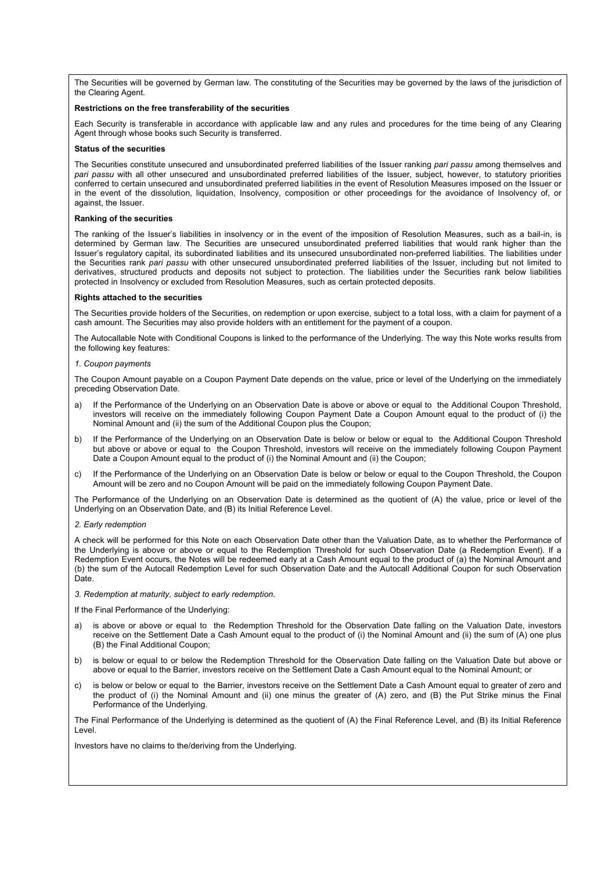The Securities will be governed by German law. The constituting of the Securities may be governed by the laws of the jurisdiction of the Clearing Agent.

## **Restrictions on the free transferability of the securities**

Each Security is transferable in accordance with applicable law and any rules and procedures for the time being of any Clearing Agent through whose books such Security is transferred.

#### **Status of the securities**

The Securities constitute unsecured and unsubordinated preferred liabilities of the Issuer ranking *pari passu* among themselves and *pari passu* with all other unsecured and unsubordinated preferred liabilities of the Issuer, subject, however, to statutory priorities conferred to certain unsecured and unsubordinated preferred liabilities in the event of Resolution Measures imposed on the Issuer or in the event of the dissolution, liquidation, Insolvency, composition or other proceedings for the avoidance of Insolvency of, or against, the Issuer.

#### **Ranking of the securities**

The ranking of the Issuer's liabilities in insolvency or in the event of the imposition of Resolution Measures, such as a bail-in, is determined by German law. The Securities are unsecured unsubordinated preferred liabilities that would rank higher than the Issuer's regulatory capital, its subordinated liabilities and its unsecured unsubordinated non-preferred liabilities. The liabilities under the Securities rank *pari passu* with other unsecured unsubordinated preferred liabilities of the Issuer, including but not limited to derivatives, structured products and deposits not subject to protection. The liabilities under the Securities rank below liabilities protected in Insolvency or excluded from Resolution Measures, such as certain protected deposits.

#### **Rights attached to the securities**

The Securities provide holders of the Securities, on redemption or upon exercise, subject to a total loss, with a claim for payment of a cash amount. The Securities may also provide holders with an entitlement for the payment of a coupon.

The Autocallable Note with Conditional Coupons is linked to the performance of the Underlying. The way this Note works results from the following key features:

#### *1. Coupon payments*

The Coupon Amount payable on a Coupon Payment Date depends on the value, price or level of the Underlying on the immediately preceding Observation Date.

- a) If the Performance of the Underlying on an Observation Date is above or above or equal to the Additional Coupon Threshold, investors will receive on the immediately following Coupon Payment Date a Coupon Amount equal to the product of (i) the Nominal Amount and (ii) the sum of the Additional Coupon plus the Coupon;
- b) If the Performance of the Underlying on an Observation Date is below or below or equal to the Additional Coupon Threshold but above or above or equal to the Coupon Threshold, investors will receive on the immediately following Coupon Payment Date a Coupon Amount equal to the product of (i) the Nominal Amount and (ii) the Coupon;
- c) If the Performance of the Underlying on an Observation Date is below or below or equal to the Coupon Threshold, the Coupon Amount will be zero and no Coupon Amount will be paid on the immediately following Coupon Payment Date.

The Performance of the Underlying on an Observation Date is determined as the quotient of (A) the value, price or level of the Underlying on an Observation Date, and (B) its Initial Reference Level.

*2. Early redemption* 

A check will be performed for this Note on each Observation Date other than the Valuation Date, as to whether the Performance of the Underlying is above or above or equal to the Redemption Threshold for such Observation Date (a Redemption Event). If a Redemption Event occurs, the Notes will be redeemed early at a Cash Amount equal to the product of (a) the Nominal Amount and (b) the sum of the Autocall Redemption Level for such Observation Date and the Autocall Additional Coupon for such Observation Date.

*3. Redemption at maturity, subject to early redemption.* 

If the Final Performance of the Underlying:

- a) is above or above or equal to the Redemption Threshold for the Observation Date falling on the Valuation Date, investors receive on the Settlement Date a Cash Amount equal to the product of (i) the Nominal Amount and (ii) the sum of (A) one plus (B) the Final Additional Coupon;
- b) is below or equal to or below the Redemption Threshold for the Observation Date falling on the Valuation Date but above or above or equal to the Barrier, investors receive on the Settlement Date a Cash Amount equal to the Nominal Amount; or
- c) is below or below or equal to the Barrier, investors receive on the Settlement Date a Cash Amount equal to greater of zero and the product of (i) the Nominal Amount and (ii) one minus the greater of (A) zero, and (B) the Put Strike minus the Final Performance of the Underlying.

The Final Performance of the Underlying is determined as the quotient of (A) the Final Reference Level, and (B) its Initial Reference Level.

Investors have no claims to the/deriving from the Underlying.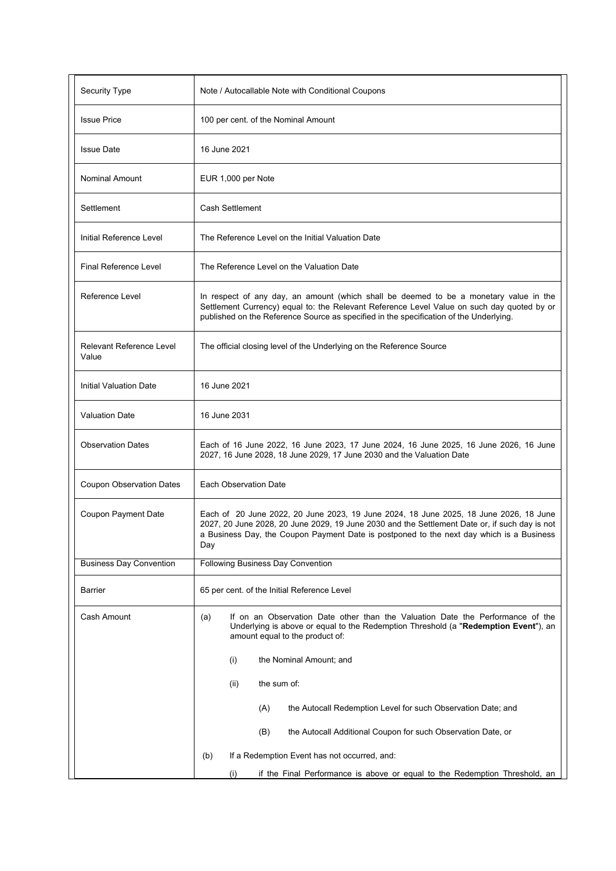| Security Type                            | Note / Autocallable Note with Conditional Coupons                                                                                                                                                                                                                                         |
|------------------------------------------|-------------------------------------------------------------------------------------------------------------------------------------------------------------------------------------------------------------------------------------------------------------------------------------------|
| <b>Issue Price</b>                       | 100 per cent. of the Nominal Amount                                                                                                                                                                                                                                                       |
| <b>Issue Date</b>                        | 16 June 2021                                                                                                                                                                                                                                                                              |
| <b>Nominal Amount</b>                    | EUR 1,000 per Note                                                                                                                                                                                                                                                                        |
| Settlement                               | Cash Settlement                                                                                                                                                                                                                                                                           |
| Initial Reference Level                  | The Reference Level on the Initial Valuation Date                                                                                                                                                                                                                                         |
| Final Reference Level                    | The Reference Level on the Valuation Date                                                                                                                                                                                                                                                 |
| Reference Level                          | In respect of any day, an amount (which shall be deemed to be a monetary value in the<br>Settlement Currency) equal to: the Relevant Reference Level Value on such day quoted by or<br>published on the Reference Source as specified in the specification of the Underlying.             |
| <b>Relevant Reference Level</b><br>Value | The official closing level of the Underlying on the Reference Source                                                                                                                                                                                                                      |
| Initial Valuation Date                   | 16 June 2021                                                                                                                                                                                                                                                                              |
| <b>Valuation Date</b>                    | 16 June 2031                                                                                                                                                                                                                                                                              |
| <b>Observation Dates</b>                 | Each of 16 June 2022, 16 June 2023, 17 June 2024, 16 June 2025, 16 June 2026, 16 June<br>2027, 16 June 2028, 18 June 2029, 17 June 2030 and the Valuation Date                                                                                                                            |
| <b>Coupon Observation Dates</b>          | Each Observation Date                                                                                                                                                                                                                                                                     |
| Coupon Payment Date                      | Each of 20 June 2022, 20 June 2023, 19 June 2024, 18 June 2025, 18 June 2026, 18 June<br>2027, 20 June 2028, 20 June 2029, 19 June 2030 and the Settlement Date or, if such day is not<br>a Business Day, the Coupon Payment Date is postponed to the next day which is a Business<br>Day |
| <b>Business Day Convention</b>           | Following Business Day Convention                                                                                                                                                                                                                                                         |
| <b>Barrier</b>                           | 65 per cent. of the Initial Reference Level                                                                                                                                                                                                                                               |
| Cash Amount                              | If on an Observation Date other than the Valuation Date the Performance of the<br>(a)<br>Underlying is above or equal to the Redemption Threshold (a "Redemption Event"), an<br>amount equal to the product of:                                                                           |
|                                          | (i)<br>the Nominal Amount; and                                                                                                                                                                                                                                                            |
|                                          | the sum of:<br>(ii)                                                                                                                                                                                                                                                                       |
|                                          | the Autocall Redemption Level for such Observation Date; and<br>(A)                                                                                                                                                                                                                       |
|                                          | (B)<br>the Autocall Additional Coupon for such Observation Date, or                                                                                                                                                                                                                       |
|                                          | If a Redemption Event has not occurred, and:<br>(b)                                                                                                                                                                                                                                       |
|                                          | if the Final Performance is above or equal to the Redemption Threshold, an<br>(i)                                                                                                                                                                                                         |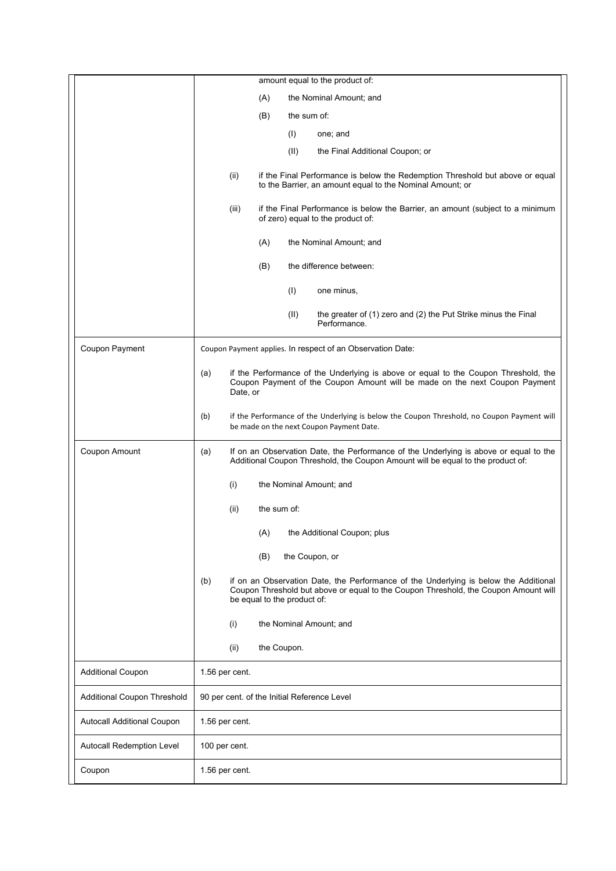|                             | amount equal to the product of:                                                                                                                                                                                   |  |
|-----------------------------|-------------------------------------------------------------------------------------------------------------------------------------------------------------------------------------------------------------------|--|
|                             | (A)<br>the Nominal Amount; and                                                                                                                                                                                    |  |
|                             | (B)<br>the sum of:                                                                                                                                                                                                |  |
|                             | (I)<br>one; and                                                                                                                                                                                                   |  |
|                             | (II)<br>the Final Additional Coupon; or                                                                                                                                                                           |  |
|                             | (ii)<br>if the Final Performance is below the Redemption Threshold but above or equal<br>to the Barrier, an amount equal to the Nominal Amount; or                                                                |  |
|                             | (iii)<br>if the Final Performance is below the Barrier, an amount (subject to a minimum<br>of zero) equal to the product of:                                                                                      |  |
|                             | (A)<br>the Nominal Amount; and                                                                                                                                                                                    |  |
|                             | (B)<br>the difference between:                                                                                                                                                                                    |  |
|                             | (1)<br>one minus,                                                                                                                                                                                                 |  |
|                             | (II)<br>the greater of (1) zero and (2) the Put Strike minus the Final<br>Performance.                                                                                                                            |  |
| Coupon Payment              | Coupon Payment applies. In respect of an Observation Date:                                                                                                                                                        |  |
|                             | if the Performance of the Underlying is above or equal to the Coupon Threshold, the<br>(a)<br>Coupon Payment of the Coupon Amount will be made on the next Coupon Payment<br>Date, or                             |  |
|                             | if the Performance of the Underlying is below the Coupon Threshold, no Coupon Payment will<br>(b)<br>be made on the next Coupon Payment Date.                                                                     |  |
| Coupon Amount               | (a)<br>If on an Observation Date, the Performance of the Underlying is above or equal to the<br>Additional Coupon Threshold, the Coupon Amount will be equal to the product of:                                   |  |
|                             | (i)<br>the Nominal Amount; and                                                                                                                                                                                    |  |
|                             | (ii)<br>the sum of:                                                                                                                                                                                               |  |
|                             | (A)<br>the Additional Coupon; plus                                                                                                                                                                                |  |
|                             | the Coupon, or<br>(B)                                                                                                                                                                                             |  |
|                             | if on an Observation Date, the Performance of the Underlying is below the Additional<br>(b)<br>Coupon Threshold but above or equal to the Coupon Threshold, the Coupon Amount will<br>be equal to the product of: |  |
|                             | the Nominal Amount; and<br>(i)                                                                                                                                                                                    |  |
|                             | (ii)<br>the Coupon.                                                                                                                                                                                               |  |
| <b>Additional Coupon</b>    | 1.56 per cent.                                                                                                                                                                                                    |  |
| Additional Coupon Threshold | 90 per cent. of the Initial Reference Level                                                                                                                                                                       |  |
| Autocall Additional Coupon  | 1.56 per cent.                                                                                                                                                                                                    |  |
| Autocall Redemption Level   | 100 per cent.                                                                                                                                                                                                     |  |
| Coupon                      | 1.56 per cent.                                                                                                                                                                                                    |  |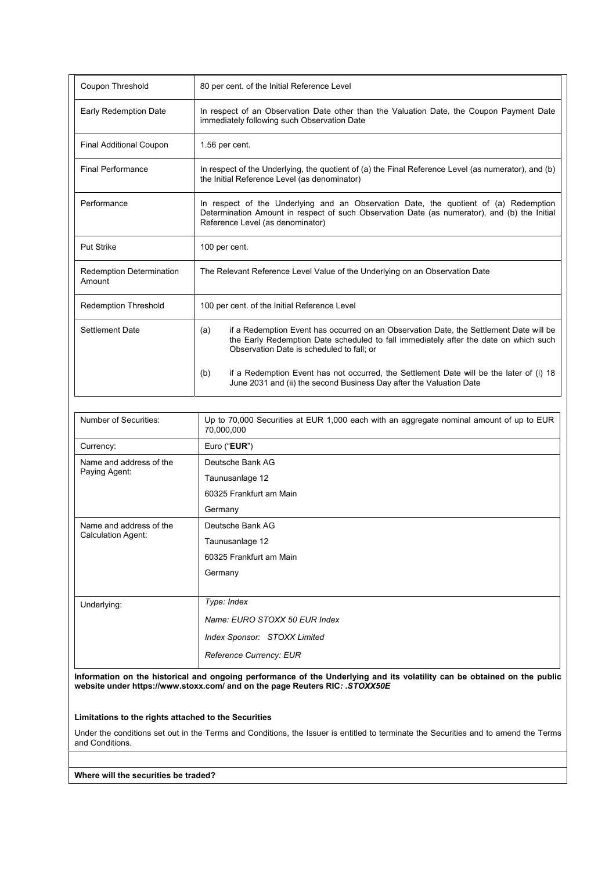| Coupon Threshold                          | 80 per cent. of the Initial Reference Level                                                                                                                                                                                        |  |
|-------------------------------------------|------------------------------------------------------------------------------------------------------------------------------------------------------------------------------------------------------------------------------------|--|
| Early Redemption Date                     | In respect of an Observation Date other than the Valuation Date, the Coupon Payment Date<br>immediately following such Observation Date                                                                                            |  |
| <b>Final Additional Coupon</b>            | 1.56 per cent.                                                                                                                                                                                                                     |  |
| <b>Final Performance</b>                  | In respect of the Underlying, the quotient of (a) the Final Reference Level (as numerator), and (b)<br>the Initial Reference Level (as denominator)                                                                                |  |
| Performance                               | In respect of the Underlying and an Observation Date, the quotient of (a) Redemption<br>Determination Amount in respect of such Observation Date (as numerator), and (b) the Initial<br>Reference Level (as denominator)           |  |
| <b>Put Strike</b>                         | 100 per cent.                                                                                                                                                                                                                      |  |
| <b>Redemption Determination</b><br>Amount | The Relevant Reference Level Value of the Underlying on an Observation Date                                                                                                                                                        |  |
| <b>Redemption Threshold</b>               | 100 per cent. of the Initial Reference Level                                                                                                                                                                                       |  |
| Settlement Date                           | if a Redemption Event has occurred on an Observation Date, the Settlement Date will be<br>(a)<br>the Early Redemption Date scheduled to fall immediately after the date on which such<br>Observation Date is scheduled to fall: or |  |
|                                           | if a Redemption Event has not occurred, the Settlement Date will be the later of (i) 18<br>(b)<br>June 2031 and (ii) the second Business Day after the Valuation Date                                                              |  |

| Number of Securities:     | Up to 70,000 Securities at EUR 1,000 each with an aggregate nominal amount of up to EUR<br>70,000,000 |
|---------------------------|-------------------------------------------------------------------------------------------------------|
| Currency:                 | Euro ("EUR")                                                                                          |
| Name and address of the   | Deutsche Bank AG                                                                                      |
| Paying Agent:             | Taunusanlage 12                                                                                       |
|                           | 60325 Frankfurt am Main                                                                               |
|                           | Germany                                                                                               |
| Name and address of the   | Deutsche Bank AG                                                                                      |
| <b>Calculation Agent:</b> | Taunusanlage 12                                                                                       |
|                           | 60325 Frankfurt am Main                                                                               |
|                           | Germany                                                                                               |
|                           |                                                                                                       |
| Underlying:               | Type: Index                                                                                           |
|                           | Name: EURO STOXX 50 EUR Index                                                                         |
|                           | Index Sponsor: STOXX Limited                                                                          |
|                           | Reference Currency: EUR                                                                               |

**Information on the historical and ongoing performance of the Underlying and its volatility can be obtained on the public website under https://www.stoxx.com/ and on the page Reuters RIC***: .STOXX50E*

**Limitations to the rights attached to the Securities** 

Under the conditions set out in the Terms and Conditions, the Issuer is entitled to terminate the Securities and to amend the Terms and Conditions.

**Where will the securities be traded?**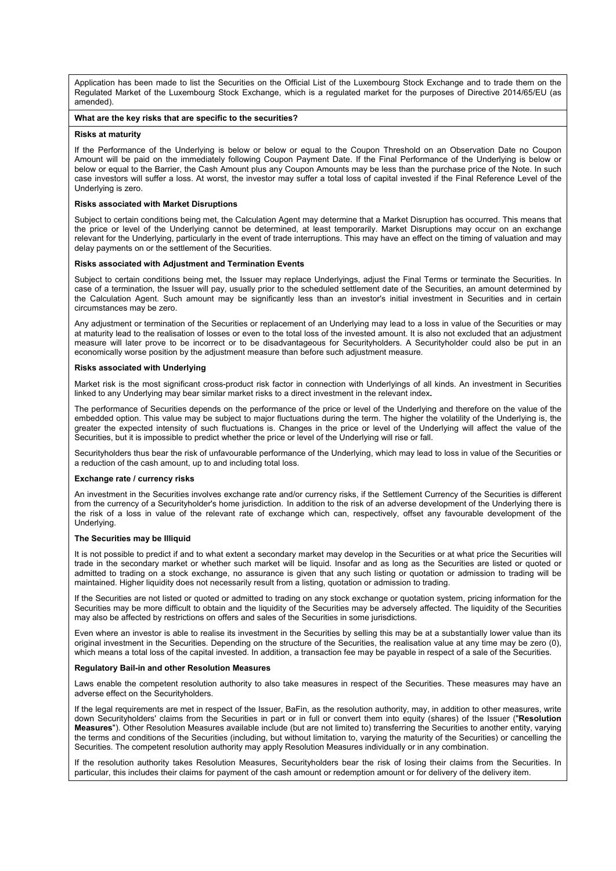Application has been made to list the Securities on the Official List of the Luxembourg Stock Exchange and to trade them on the Regulated Market of the Luxembourg Stock Exchange, which is a regulated market for the purposes of Directive 2014/65/EU (as amended).

#### **What are the key risks that are specific to the securities?**

#### **Risks at maturity**

If the Performance of the Underlying is below or below or equal to the Coupon Threshold on an Observation Date no Coupon Amount will be paid on the immediately following Coupon Payment Date. If the Final Performance of the Underlying is below or below or equal to the Barrier, the Cash Amount plus any Coupon Amounts may be less than the purchase price of the Note. In such case investors will suffer a loss. At worst, the investor may suffer a total loss of capital invested if the Final Reference Level of the Underlying is zero.

#### **Risks associated with Market Disruptions**

Subject to certain conditions being met, the Calculation Agent may determine that a Market Disruption has occurred. This means that the price or level of the Underlying cannot be determined, at least temporarily. Market Disruptions may occur on an exchange relevant for the Underlying, particularly in the event of trade interruptions. This may have an effect on the timing of valuation and may delay payments on or the settlement of the Securities.

#### **Risks associated with Adjustment and Termination Events**

Subject to certain conditions being met, the Issuer may replace Underlyings, adjust the Final Terms or terminate the Securities. In case of a termination, the Issuer will pay, usually prior to the scheduled settlement date of the Securities, an amount determined by the Calculation Agent. Such amount may be significantly less than an investor's initial investment in Securities and in certain circumstances may be zero.

Any adjustment or termination of the Securities or replacement of an Underlying may lead to a loss in value of the Securities or may at maturity lead to the realisation of losses or even to the total loss of the invested amount. It is also not excluded that an adjustment measure will later prove to be incorrect or to be disadvantageous for Securityholders. A Securityholder could also be put in an economically worse position by the adjustment measure than before such adjustment measure.

#### **Risks associated with Underlying**

Market risk is the most significant cross-product risk factor in connection with Underlyings of all kinds. An investment in Securities linked to any Underlying may bear similar market risks to a direct investment in the relevant index**.**

The performance of Securities depends on the performance of the price or level of the Underlying and therefore on the value of the embedded option. This value may be subject to major fluctuations during the term. The higher the volatility of the Underlying is, the greater the expected intensity of such fluctuations is. Changes in the price or level of the Underlying will affect the value of the Securities, but it is impossible to predict whether the price or level of the Underlying will rise or fall.

Securityholders thus bear the risk of unfavourable performance of the Underlying, which may lead to loss in value of the Securities or a reduction of the cash amount, up to and including total loss.

#### **Exchange rate / currency risks**

An investment in the Securities involves exchange rate and/or currency risks, if the Settlement Currency of the Securities is different from the currency of a Securityholder's home jurisdiction. In addition to the risk of an adverse development of the Underlying there is the risk of a loss in value of the relevant rate of exchange which can, respectively, offset any favourable development of the Underlying.

#### **The Securities may be Illiquid**

It is not possible to predict if and to what extent a secondary market may develop in the Securities or at what price the Securities will trade in the secondary market or whether such market will be liquid. Insofar and as long as the Securities are listed or quoted or admitted to trading on a stock exchange, no assurance is given that any such listing or quotation or admission to trading will be maintained. Higher liquidity does not necessarily result from a listing, quotation or admission to trading.

If the Securities are not listed or quoted or admitted to trading on any stock exchange or quotation system, pricing information for the Securities may be more difficult to obtain and the liquidity of the Securities may be adversely affected. The liquidity of the Securities may also be affected by restrictions on offers and sales of the Securities in some jurisdictions.

Even where an investor is able to realise its investment in the Securities by selling this may be at a substantially lower value than its original investment in the Securities. Depending on the structure of the Securities, the realisation value at any time may be zero (0), which means a total loss of the capital invested. In addition, a transaction fee may be payable in respect of a sale of the Securities.

#### **Regulatory Bail-in and other Resolution Measures**

Laws enable the competent resolution authority to also take measures in respect of the Securities. These measures may have an adverse effect on the Securityholders.

If the legal requirements are met in respect of the Issuer, BaFin, as the resolution authority, may, in addition to other measures, write down Securityholders' claims from the Securities in part or in full or convert them into equity (shares) of the Issuer ("**Resolution Measures**"). Other Resolution Measures available include (but are not limited to) transferring the Securities to another entity, varying the terms and conditions of the Securities (including, but without limitation to, varying the maturity of the Securities) or cancelling the Securities. The competent resolution authority may apply Resolution Measures individually or in any combination.

If the resolution authority takes Resolution Measures, Securityholders bear the risk of losing their claims from the Securities. In particular, this includes their claims for payment of the cash amount or redemption amount or for delivery of the delivery item.